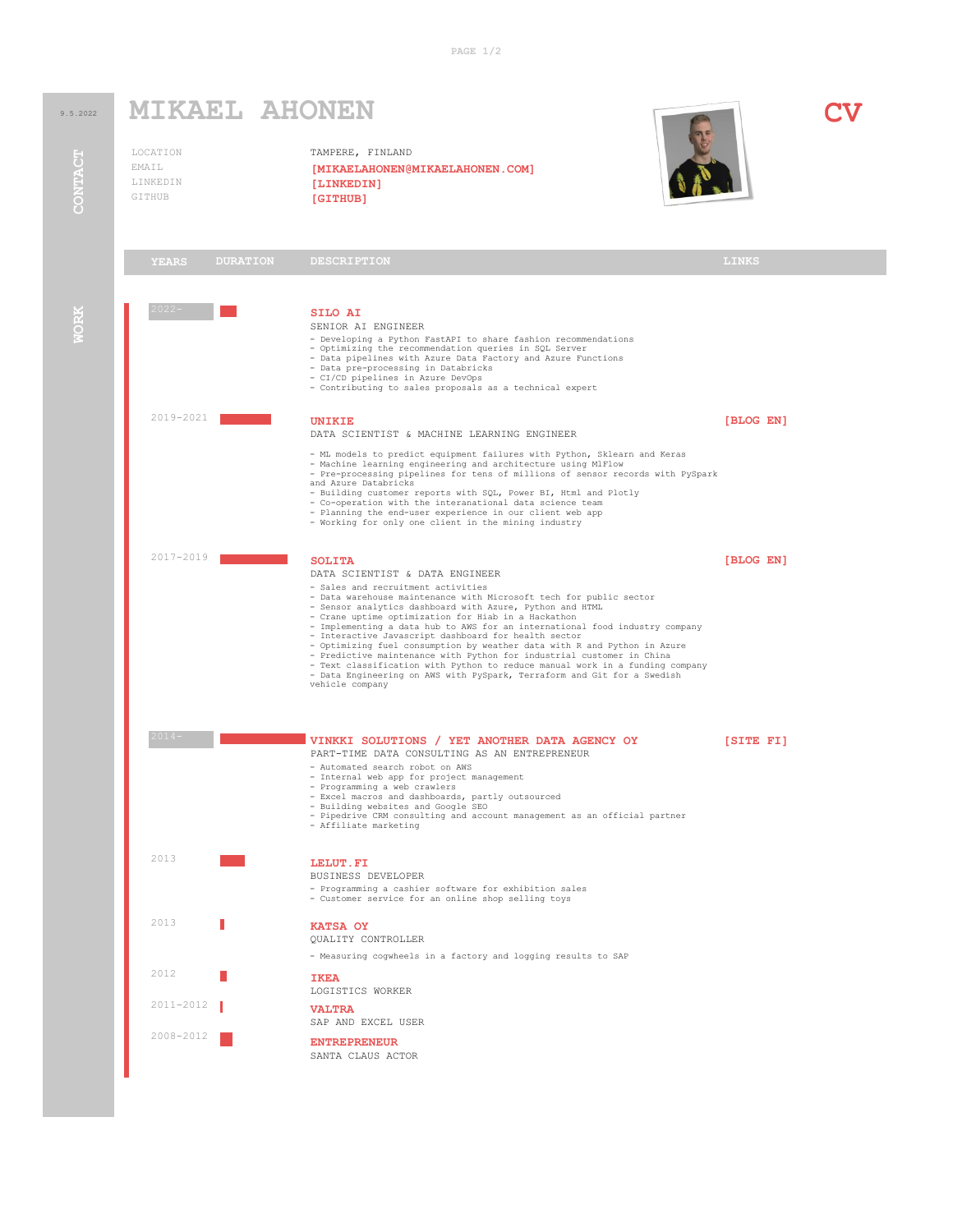**PAGE 1/2**